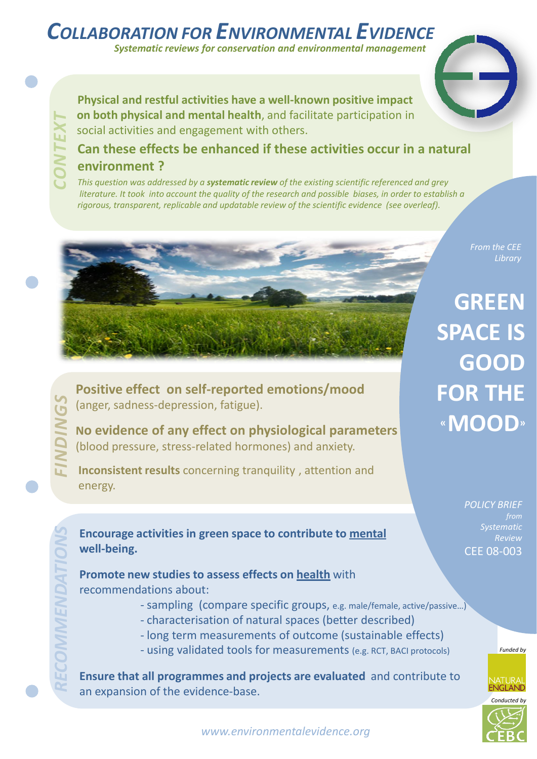# *COLLABORATION FOR ENVIRONMENTAL EVIDENCE*

*Systematic reviews for conservation and environmental management*

**Physical and restful activities have a well-known positive impact on both physical and mental health**, and facilitate participation in social activities and engagement with others.

## **Can these effects be enhanced if these activities occur in a natural environment ?**

*This question was addressed by a systematic review of the existing scientific referenced and grey* literature. It took into account the quality of the research and possible biases, in order to establish a *rigorous, transparent, replicable and updatable review of the scientific evidence (see overleaf).*

*From the CEE* 

**GREEN SPACE IS GOOD FOR THE «MOOD»**

> *POLICY BRIEF Systematic Review* CEE 08-003



*Funded by*



**Positive effect on self-reported emotions/mood** (anger, sadness-depression, fatigue).

**No evidence of any effect on physiological parameters** (blood pressure, stress-related hormones) and anxiety. *FINDINGS*

**Inconsistent results** concerning tranquility , attention and energy.

**Encourage activities in green space to contribute to mental well-being.**

**Promote new studies to assess effects on health** with recommendations about:

- sampling (compare specific groups, e.g. male/female, active/passive…)
- characterisation of natural spaces (better described)
- long term measurements of outcome (sustainable effects)
- using validated tools for measurements (e.g. RCT, BACI protocols)

**Ensure that all programmes and projects are evaluated** and contribute to an expansion of the evidence-base.

*www.environmentalevidence.org*

*RECOMMENDATIONS*

*CONTEXT*